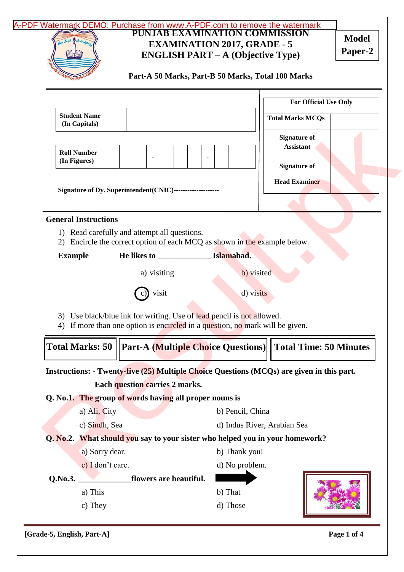|                                                                                                                                                                                                                                                                                     | PUNJAB EXAMINATION COMMISSION<br><b>EXAMINATION 2017, GRADE - 5</b><br><b>ENGLISH PART – A (Objective Type)</b> | A-PDF Watermark DEMO: Purchase from www.A-PDF.com to remove the watermark | <b>Model</b><br>Paper-2 |
|-------------------------------------------------------------------------------------------------------------------------------------------------------------------------------------------------------------------------------------------------------------------------------------|-----------------------------------------------------------------------------------------------------------------|---------------------------------------------------------------------------|-------------------------|
| Part-A 50 Marks, Part-B 50 Marks, Total 100 Marks                                                                                                                                                                                                                                   |                                                                                                                 |                                                                           |                         |
|                                                                                                                                                                                                                                                                                     |                                                                                                                 | <b>For Official Use Only</b>                                              |                         |
| <b>Student Name</b><br>(In Capitals)                                                                                                                                                                                                                                                |                                                                                                                 | <b>Total Marks MCQs</b>                                                   |                         |
| <b>Roll Number</b><br>(In Figures)                                                                                                                                                                                                                                                  |                                                                                                                 | <b>Signature of</b><br><b>Assistant</b>                                   |                         |
|                                                                                                                                                                                                                                                                                     |                                                                                                                 | <b>Signature of</b>                                                       |                         |
| Signature of Dy. Superintendent(CNIC)--------------------                                                                                                                                                                                                                           |                                                                                                                 | <b>Head Examiner</b>                                                      |                         |
|                                                                                                                                                                                                                                                                                     |                                                                                                                 |                                                                           |                         |
| <b>General Instructions</b>                                                                                                                                                                                                                                                         |                                                                                                                 |                                                                           |                         |
| 1) Read carefully and attempt all questions.<br>2) Encircle the correct option of each MCQ as shown in the example below.                                                                                                                                                           |                                                                                                                 |                                                                           |                         |
| <b>Example</b>                                                                                                                                                                                                                                                                      | Islamabad.                                                                                                      |                                                                           |                         |
| a) visiting                                                                                                                                                                                                                                                                         | b) visited                                                                                                      |                                                                           |                         |
|                                                                                                                                                                                                                                                                                     |                                                                                                                 |                                                                           |                         |
|                                                                                                                                                                                                                                                                                     |                                                                                                                 |                                                                           |                         |
| visit                                                                                                                                                                                                                                                                               | d) visits                                                                                                       |                                                                           |                         |
| 3) Use black/blue ink for writing. Use of lead pencil is not allowed.<br>4) If more than one option is encircled in a question, no mark will be given.                                                                                                                              |                                                                                                                 |                                                                           |                         |
| <b>Part-A (Multiple Choice Questions)</b>                                                                                                                                                                                                                                           |                                                                                                                 | <b>Total Time: 50 Minutes</b>                                             |                         |
|                                                                                                                                                                                                                                                                                     |                                                                                                                 |                                                                           |                         |
| <b>Each question carries 2 marks.</b>                                                                                                                                                                                                                                               |                                                                                                                 |                                                                           |                         |
|                                                                                                                                                                                                                                                                                     |                                                                                                                 |                                                                           |                         |
| a) Ali, City                                                                                                                                                                                                                                                                        | b) Pencil, China                                                                                                |                                                                           |                         |
| c) Sindh, Sea                                                                                                                                                                                                                                                                       | d) Indus River, Arabian Sea                                                                                     |                                                                           |                         |
|                                                                                                                                                                                                                                                                                     |                                                                                                                 |                                                                           |                         |
| a) Sorry dear.                                                                                                                                                                                                                                                                      | b) Thank you!                                                                                                   |                                                                           |                         |
| c) I don't care.                                                                                                                                                                                                                                                                    | d) No problem.                                                                                                  |                                                                           |                         |
| flowers are beautiful.                                                                                                                                                                                                                                                              |                                                                                                                 |                                                                           |                         |
| <b>Total Marks: 50</b><br>Instructions: - Twenty-five (25) Multiple Choice Questions (MCQs) are given in this part.<br>Q. No.1. The group of words having all proper nouns is<br>Q. No.2. What should you say to your sister who helped you in your homework?<br>Q.No.3.<br>a) This | b) That                                                                                                         |                                                                           |                         |

**[Grade-5, English, Part-A] Page 1 of 4**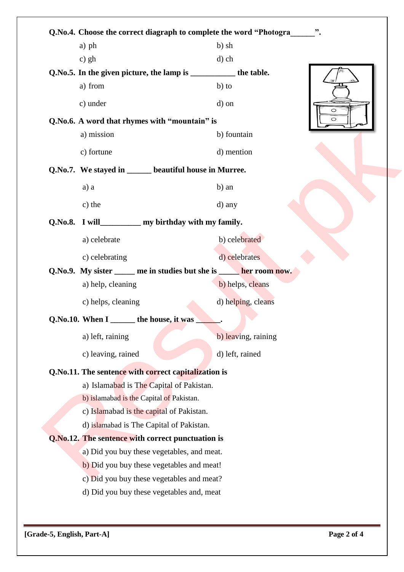|                                          | Q.No.4. Choose the correct diagraph to complete the word "Photogra_______".             |                     |         |  |  |
|------------------------------------------|-----------------------------------------------------------------------------------------|---------------------|---------|--|--|
|                                          | a) ph                                                                                   | b) sh               |         |  |  |
|                                          | $c)$ gh                                                                                 | $d$ ) ch            |         |  |  |
|                                          | Q.No.5. In the given picture, the lamp is ______________ the table.                     |                     |         |  |  |
|                                          | a) from                                                                                 | $b)$ to             |         |  |  |
|                                          | c) under                                                                                | d) on               | $\circ$ |  |  |
|                                          | Q.No.6. A word that rhymes with "mountain" is                                           |                     | O       |  |  |
|                                          | a) mission                                                                              | b) fountain         |         |  |  |
|                                          | c) fortune                                                                              | d) mention          |         |  |  |
|                                          | Q.No.7. We stayed in ______ beautiful house in Murree.                                  |                     |         |  |  |
|                                          | a) a                                                                                    | b) an               |         |  |  |
|                                          | c) the                                                                                  | d) any              |         |  |  |
|                                          | Q.No.8. I will______________ my birthday with my family.                                |                     |         |  |  |
|                                          | a) celebrate                                                                            | b) celebrated       |         |  |  |
|                                          | c) celebrating                                                                          | d) celebrates       |         |  |  |
|                                          | Q.No.9. My sister ______ me in studies but she is ______ her room now.                  |                     |         |  |  |
|                                          | a) help, cleaning                                                                       | b) helps, cleans    |         |  |  |
|                                          | c) helps, cleaning                                                                      | d) helping, cleans  |         |  |  |
|                                          | Q.No.10. When I _______ the house, it was                                               |                     |         |  |  |
|                                          | a) left, raining                                                                        | b) leaving, raining |         |  |  |
|                                          | c) leaving, rained                                                                      | d) left, rained     |         |  |  |
|                                          | Q.No.11. The sentence with correct capitalization is                                    |                     |         |  |  |
| a) Islamabad is The Capital of Pakistan. |                                                                                         |                     |         |  |  |
|                                          | b) islamabad is the Capital of Pakistan.                                                |                     |         |  |  |
|                                          | c) Islamabad is the capital of Pakistan.                                                |                     |         |  |  |
|                                          | d) islamabad is The Capital of Pakistan.                                                |                     |         |  |  |
|                                          | Q.No.12. The sentence with correct punctuation is                                       |                     |         |  |  |
|                                          | a) Did you buy these vegetables, and meat.<br>b) Did you buy these vegetables and meat! |                     |         |  |  |
|                                          | c) Did you buy these vegetables and meat?                                               |                     |         |  |  |
|                                          | d) Did you buy these vegetables and, meat                                               |                     |         |  |  |
|                                          |                                                                                         |                     |         |  |  |

٦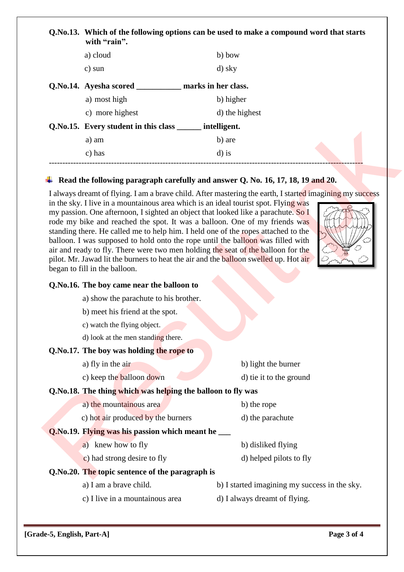| Q.No.13. Which of the following options can be used to make a compound word that starts<br>with "rain". |                     |
|---------------------------------------------------------------------------------------------------------|---------------------|
| a) cloud                                                                                                | b) bow              |
| c) sun                                                                                                  | d) sky              |
| Q.No.14. Ayesha scored                                                                                  | marks in her class. |
| a) most high                                                                                            | b) higher           |
| c) more highest                                                                                         | d) the highest      |

## **Read the following paragraph carefully and answer Q. No. 16, 17, 18, 19 and 20.**

I always dreamt of flying. I am a brave child. After mastering the earth, I started imagining my success

--------------------------------------------------------------------------------------------------------------------

in the sky. I live in a mountainous area which is an ideal tourist spot. Flying was my passion. One afternoon, I sighted an object that looked like a parachute. So I rode my bike and reached the spot. It was a balloon. One of my friends was standing there. He called me to help him. I held one of the ropes attached to the balloon. I was supposed to hold onto the rope until the balloon was filled with air and ready to fly. There were two men holding the seat of the balloon for the pilot. Mr. Jawad lit the burners to heat the air and the balloon swelled up. Hot air began to fill in the balloon. [Result.pk](http://www.result.pk)



#### **Q.No.16. The boy came near the balloon to**

a) show the parachute to his brother.

**Q.No.15. Every student in this class \_\_\_\_\_\_ intelligent.**

a) am b) are c) has  $d)$  is

- b) meet his friend at the spot.
- c) watch the flying object.
- d) look at the men standing there.

#### **Q.No.17. The boy was holding the rope to**

- a) fly in the air b) light the burner
- c) keep the **balloon down** d) tie it to the ground
	-

# **Q.No.18. The thing which was helping the balloon to fly was**

- a) the mountainous area b) the rope
- c) hot air produced by the burners d) the parachute

## **Q.No.19. Flying was his passion which meant he \_\_\_**

- a) knew how to fly b) disliked flying
- c) had strong desire to fly d) helped pilots to fly
- **Q.No.20. The topic sentence of the paragraph is**
	-
	- c) I live in a mountainous area
	- a) I am a brave child. b) I started imagining my success in the sky.
		- d) I always dreamt of flying.